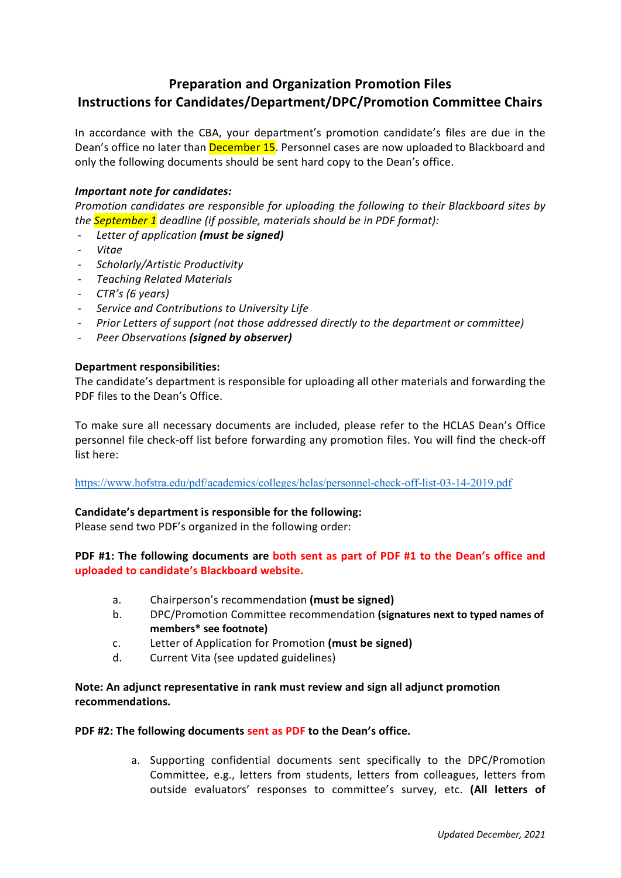# **Preparation and Organization Promotion Files Instructions for Candidates/Department/DPC/Promotion Committee Chairs**

In accordance with the CBA, your department's promotion candidate's files are due in the Dean's office no later than **December 15**. Personnel cases are now uploaded to Blackboard and only the following documents should be sent hard copy to the Dean's office.

# *Important note for candidates:*

*Promotion candidates are responsible for uploading the following to their Blackboard sites by the September 1 deadline (if possible, materials should be in PDF format):*

- *Letter of application (must be signed)*
- *Vitae*
- *Scholarly/Artistic Productivity*
- *Teaching Related Materials*
- *CTR's (6 years)*
- *Service and Contributions to University Life*
- *Prior Letters of support (not those addressed directly to the department or committee)*
- *Peer Observations (signed by observer)*

# **Department responsibilities:**

The candidate's department is responsible for uploading all other materials and forwarding the PDF files to the Dean's Office.

To make sure all necessary documents are included, please refer to the HCLAS Dean's Office personnel file check-off list before forwarding any promotion files. You will find the check-off list here:

<https://www.hofstra.edu/pdf/academics/colleges/hclas/personnel-check-off-list-03-14-2019.pdf>

# **Candidate's department is responsible for the following:**

Please send two PDF's organized in the following order:

# **PDF #1: The following documents are both sent as part of PDF #1 to the Dean's office and uploaded to candidate's Blackboard website.**

- a. Chairperson's recommendation **(must be signed)**
- b. DPC/Promotion Committee recommendation **(signatures next to typed names of members\* see footnote)**
- c. Letter of Application for Promotion **(must be signed)**
- d. Current Vita (see updated guidelines)

# **Note: An adjunct representative in rank must review and sign all adjunct promotion recommendations.**

# **PDF #2: The following documents sent as PDF to the Dean's office.**

a. Supporting confidential documents sent specifically to the DPC/Promotion Committee, e.g., letters from students, letters from colleagues, letters from outside evaluators' responses to committee's survey, etc. **(All letters of**